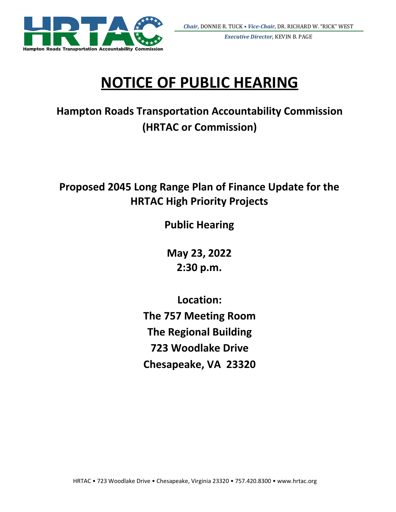

*Executive Director,* KEVIN B. PAGE

# **NOTICE OF PUBLIC HEARING**

**Hampton Roads Transportation Accountability Commission (HRTAC or Commission)**

## **Proposed 2045 Long Range Plan of Finance Update for the HRTAC High Priority Projects**

**Public Hearing**

**May 23, 2022 2:30 p.m.**

**Location: The 757 Meeting Room The Regional Building 723 Woodlake Drive Chesapeake, VA 23320**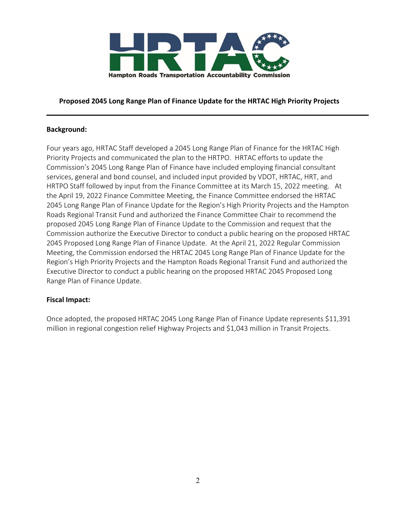

#### **Proposed 2045 Long Range Plan of Finance Update for the HRTAC High Priority Projects**

#### **Background:**

Four years ago, HRTAC Staff developed a 2045 Long Range Plan of Finance for the HRTAC High Priority Projects and communicated the plan to the HRTPO. HRTAC efforts to update the Commission's 2045 Long Range Plan of Finance have included employing financial consultant services, general and bond counsel, and included input provided by VDOT, HRTAC, HRT, and HRTPO Staff followed by input from the Finance Committee at its March 15, 2022 meeting. At the April 19, 2022 Finance Committee Meeting, the Finance Committee endorsed the HRTAC 2045 Long Range Plan of Finance Update for the Region's High Priority Projects and the Hampton Roads Regional Transit Fund and authorized the Finance Committee Chair to recommend the proposed 2045 Long Range Plan of Finance Update to the Commission and request that the Commission authorize the Executive Director to conduct a public hearing on the proposed HRTAC 2045 Proposed Long Range Plan of Finance Update. At the April 21, 2022 Regular Commission Meeting, the Commission endorsed the HRTAC 2045 Long Range Plan of Finance Update for the Region's High Priority Projects and the Hampton Roads Regional Transit Fund and authorized the Executive Director to conduct a public hearing on the proposed HRTAC 2045 Proposed Long Range Plan of Finance Update.

#### **Fiscal Impact:**

Once adopted, the proposed HRTAC 2045 Long Range Plan of Finance Update represents \$11,391 million in regional congestion relief Highway Projects and \$1,043 million in Transit Projects.